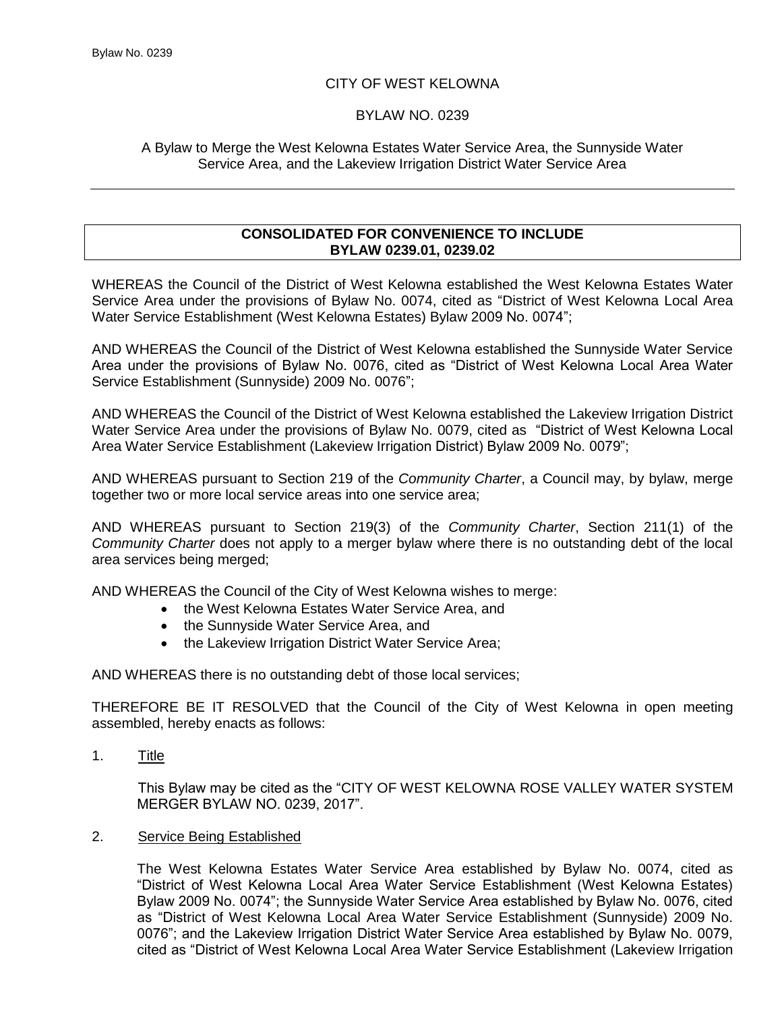# CITY OF WEST KELOWNA

## BYLAW NO. 0239

## A Bylaw to Merge the West Kelowna Estates Water Service Area, the Sunnyside Water Service Area, and the Lakeview Irrigation District Water Service Area

### **CONSOLIDATED FOR CONVENIENCE TO INCLUDE BYLAW 0239.01, 0239.02**

WHEREAS the Council of the District of West Kelowna established the West Kelowna Estates Water Service Area under the provisions of Bylaw No. 0074, cited as "District of West Kelowna Local Area Water Service Establishment (West Kelowna Estates) Bylaw 2009 No. 0074";

AND WHEREAS the Council of the District of West Kelowna established the Sunnyside Water Service Area under the provisions of Bylaw No. 0076, cited as "District of West Kelowna Local Area Water Service Establishment (Sunnyside) 2009 No. 0076";

AND WHEREAS the Council of the District of West Kelowna established the Lakeview Irrigation District Water Service Area under the provisions of Bylaw No. 0079, cited as "District of West Kelowna Local Area Water Service Establishment (Lakeview Irrigation District) Bylaw 2009 No. 0079";

AND WHEREAS pursuant to Section 219 of the *Community Charter*, a Council may, by bylaw, merge together two or more local service areas into one service area;

AND WHEREAS pursuant to Section 219(3) of the *Community Charter*, Section 211(1) of the *Community Charter* does not apply to a merger bylaw where there is no outstanding debt of the local area services being merged;

AND WHEREAS the Council of the City of West Kelowna wishes to merge:

- the West Kelowna Estates Water Service Area, and
	- the Sunnyside Water Service Area, and
	- the Lakeview Irrigation District Water Service Area;

AND WHEREAS there is no outstanding debt of those local services;

THEREFORE BE IT RESOLVED that the Council of the City of West Kelowna in open meeting assembled, hereby enacts as follows:

1. Title

This Bylaw may be cited as the "CITY OF WEST KELOWNA ROSE VALLEY WATER SYSTEM MERGER BYLAW NO. 0239, 2017".

### 2. Service Being Established

The West Kelowna Estates Water Service Area established by Bylaw No. 0074, cited as "District of West Kelowna Local Area Water Service Establishment (West Kelowna Estates) Bylaw 2009 No. 0074"; the Sunnyside Water Service Area established by Bylaw No. 0076, cited as "District of West Kelowna Local Area Water Service Establishment (Sunnyside) 2009 No. 0076"; and the Lakeview Irrigation District Water Service Area established by Bylaw No. 0079, cited as "District of West Kelowna Local Area Water Service Establishment (Lakeview Irrigation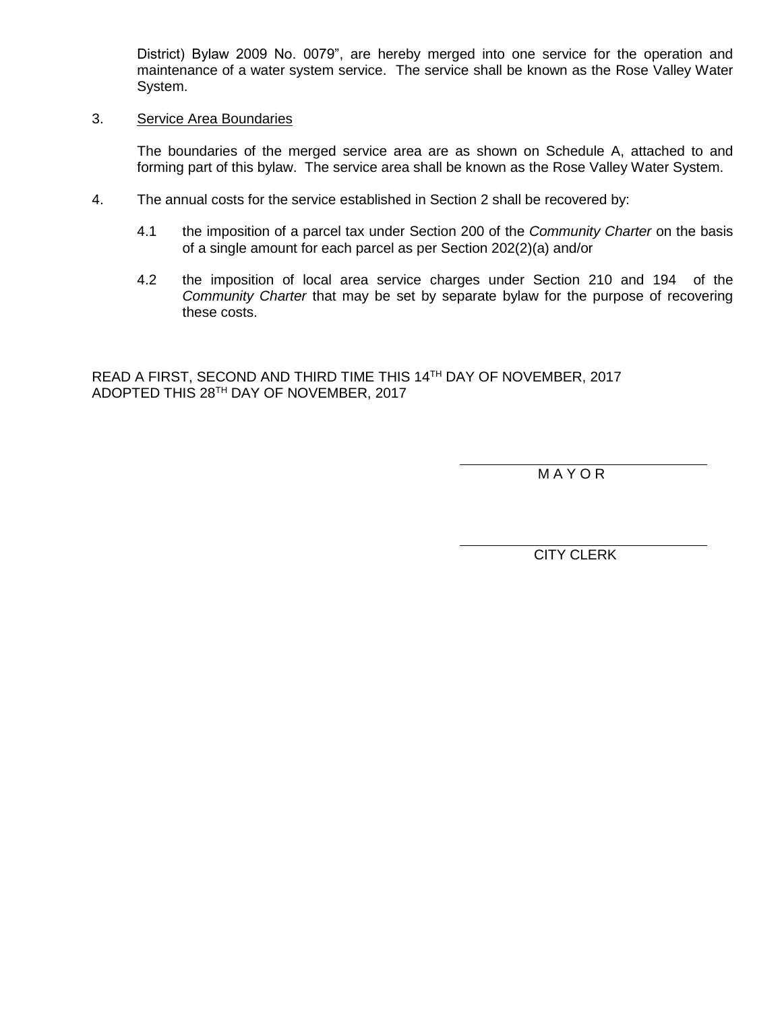District) Bylaw 2009 No. 0079", are hereby merged into one service for the operation and maintenance of a water system service. The service shall be known as the Rose Valley Water System.

#### 3. Service Area Boundaries

The boundaries of the merged service area are as shown on Schedule A, attached to and forming part of this bylaw. The service area shall be known as the Rose Valley Water System.

- 4. The annual costs for the service established in Section 2 shall be recovered by:
	- 4.1 the imposition of a parcel tax under Section 200 of the *Community Charter* on the basis of a single amount for each parcel as per Section 202(2)(a) and/or
	- 4.2 the imposition of local area service charges under Section 210 and 194 of the *Community Charter* that may be set by separate bylaw for the purpose of recovering these costs.

READ A FIRST, SECOND AND THIRD TIME THIS 14TH DAY OF NOVEMBER, 2017 ADOPTED THIS 28TH DAY OF NOVEMBER, 2017

M A Y O R

CITY CLERK